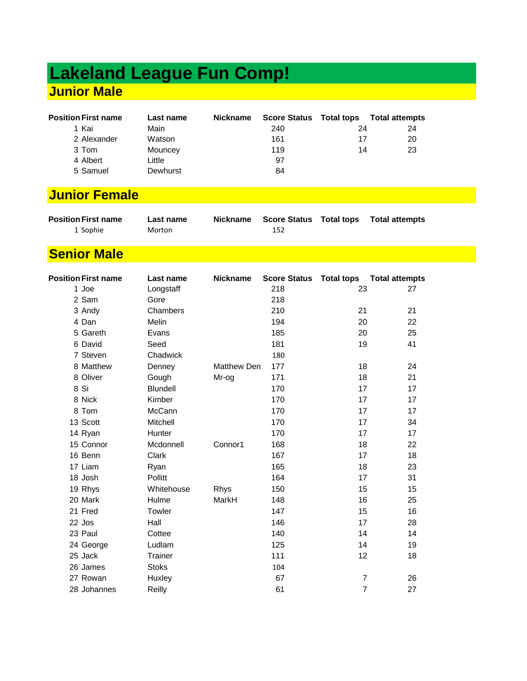# **Lakeland League Fun Comp! Junior Male**

| <b>Position First name</b> | Last name | <b>Nickname</b> | <b>Score Status Total tops</b> |    | <b>Total attempts</b> |
|----------------------------|-----------|-----------------|--------------------------------|----|-----------------------|
| 1 Kai                      | Main      |                 | 240                            | 24 | 24                    |
| 2 Alexander                | Watson    |                 | 161                            | 17 | 20                    |
| 3 Tom                      | Mouncey   |                 | 119                            | 14 | 23                    |
| 4 Albert                   | Little    |                 | 97                             |    |                       |
| 5 Samuel                   | Dewhurst  |                 | 84                             |    |                       |

## **Junior Female**

| <b>Position First name</b> | Last name | Nickname |     | Score Status Total tops Total attempts |
|----------------------------|-----------|----------|-----|----------------------------------------|
| 1 Sophie                   | Morton    |          | 152 |                                        |

#### **Senior Male**

| <b>Position First name</b> | Last name       | <b>Nickname</b> |     |                | Score Status Total tops Total attempts |
|----------------------------|-----------------|-----------------|-----|----------------|----------------------------------------|
| 1 Joe                      | Longstaff       |                 | 218 | 23             | 27                                     |
| 2 Sam                      | Gore            |                 | 218 |                |                                        |
| 3 Andy                     | Chambers        |                 | 210 | 21             | 21                                     |
| 4 Dan                      | Melin           |                 | 194 | 20             | 22                                     |
| 5 Gareth                   | Evans           |                 | 185 | 20             | 25                                     |
| 6 David                    | Seed            |                 | 181 | 19             | 41                                     |
| 7 Steven                   | Chadwick        |                 | 180 |                |                                        |
| 8 Matthew                  | Denney          | Matthew Den     | 177 | 18             | 24                                     |
| 8 Oliver                   | Gough           | Mr-og           | 171 | 18             | 21                                     |
| 8 Si                       | <b>Blundell</b> |                 | 170 | 17             | 17                                     |
| 8 Nick                     | Kimber          |                 | 170 | 17             | 17                                     |
| 8 Tom                      | McCann          |                 | 170 | 17             | 17                                     |
| 13 Scott                   | Mitchell        |                 | 170 | 17             | 34                                     |
| 14 Ryan                    | Hunter          |                 | 170 | 17             | 17                                     |
| 15 Connor                  | Mcdonnell       | Connor1         | 168 | 18             | 22                                     |
| 16 Benn                    | Clark           |                 | 167 | 17             | 18                                     |
| 17 Liam                    | Ryan            |                 | 165 | 18             | 23                                     |
| 18 Josh                    | Pollitt         |                 | 164 | 17             | 31                                     |
| 19 Rhys                    | Whitehouse      | Rhys            | 150 | 15             | 15                                     |
| 20 Mark                    | Hulme           | MarkH           | 148 | 16             | 25                                     |
| 21 Fred                    | Towler          |                 | 147 | 15             | 16                                     |
| 22 Jos                     | Hall            |                 | 146 | 17             | 28                                     |
| 23 Paul                    | Cottee          |                 | 140 | 14             | 14                                     |
| 24 George                  | Ludlam          |                 | 125 | 14             | 19                                     |
| 25 Jack                    | Trainer         |                 | 111 | 12             | 18                                     |
| 26 James                   | <b>Stoks</b>    |                 | 104 |                |                                        |
| 27 Rowan                   | Huxley          |                 | 67  | $\overline{7}$ | 26                                     |
| 28 Johannes                | Reilly          |                 | 61  | $\overline{7}$ | 27                                     |